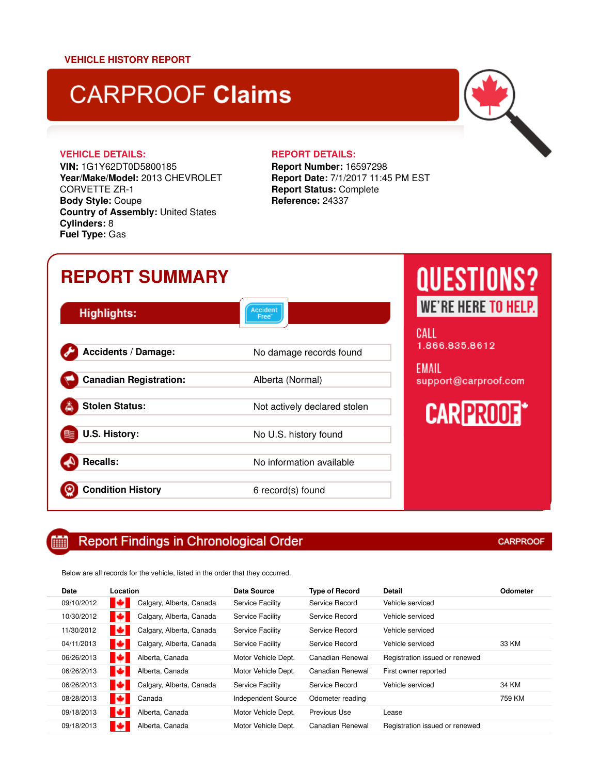# **CARPROOF Claims**

### **VEHICLE DETAILS: REPORT DETAILS:**

⊛

**VIN:** 1G1Y62DT0D5800185 **Year/Make/Model:** 2013 CHEVROLET CORVETTE ZR-1 **Body Style:** Coupe **Country of Assembly:** United States **Cylinders:** 8 **Fuel Type:** Gas

**Report Number:** 16597298 **Report Date:** 7/1/2017 11:45 PM EST **Report Status:** Complete **Reference:** 24337

# **REPORT SUMMARY** Accident<br>Free\* **Highlights:** Accidents / Damage: No damage records found **Canadian Registration:** Alberta (Normal) **Stolen Status:** Not actively declared stolen

**U.S. History:** No U.S. history found **Recalls:** No information available

**Condition History** 6 record(s) found

### Report Findings in Chronological Order

Below are all records for the vehicle, listed in the order that they occurred.

| Date       | Location |                          | <b>Data Source</b>        | <b>Type of Record</b> | Detail                         | Odometer |
|------------|----------|--------------------------|---------------------------|-----------------------|--------------------------------|----------|
| 09/10/2012 | ю        | Calgary, Alberta, Canada | <b>Service Facility</b>   | Service Record        | Vehicle serviced               |          |
| 10/30/2012 | ю        | Calgary, Alberta, Canada | <b>Service Facility</b>   | Service Record        | Vehicle serviced               |          |
| 11/30/2012 | ю        | Calgary, Alberta, Canada | <b>Service Facility</b>   | Service Record        | Vehicle serviced               |          |
| 04/11/2013 | ю        | Calgary, Alberta, Canada | <b>Service Facility</b>   | Service Record        | Vehicle serviced               | 33 KM    |
| 06/26/2013 | ю        | Alberta, Canada          | Motor Vehicle Dept.       | Canadian Renewal      | Registration issued or renewed |          |
| 06/26/2013 | о        | Alberta, Canada          | Motor Vehicle Dept.       | Canadian Renewal      | First owner reported           |          |
| 06/26/2013 | ю        | Calgary, Alberta, Canada | <b>Service Facility</b>   | Service Record        | Vehicle serviced               | 34 KM    |
| 08/28/2013 | о        | Canada                   | <b>Independent Source</b> | Odometer reading      |                                | 759 KM   |
| 09/18/2013 | ю        | Alberta, Canada          | Motor Vehicle Dept.       | <b>Previous Use</b>   | Lease                          |          |
| 09/18/2013 | ю        | Alberta, Canada          | Motor Vehicle Dept.       | Canadian Renewal      | Registration issued or renewed |          |
|            |          |                          |                           |                       |                                |          |

**CARPROOF** 

**QUESTIONS?** WE'RE HERE TO HELP.

CALL 1.866.835.8612

**EMAIL** support@carproof.com

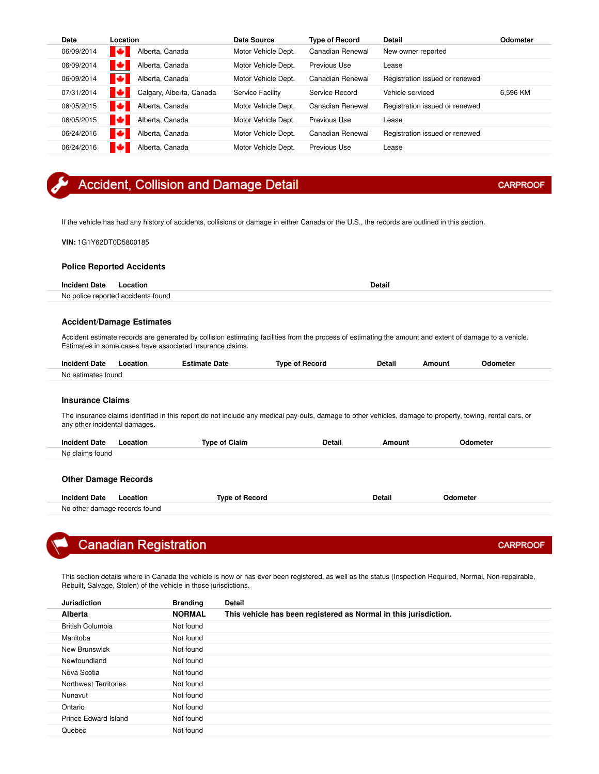| Date       | Location                      | Data Source         | <b>Type of Record</b> | <b>Detail</b>                  | <b>Odometer</b> |
|------------|-------------------------------|---------------------|-----------------------|--------------------------------|-----------------|
| 06/09/2014 | о<br>Alberta, Canada          | Motor Vehicle Dept. | Canadian Renewal      | New owner reported             |                 |
| 06/09/2014 | ю<br>Alberta, Canada          | Motor Vehicle Dept. | Previous Use          | Lease                          |                 |
| 06/09/2014 | в<br>Alberta, Canada          | Motor Vehicle Dept. | Canadian Renewal      | Registration issued or renewed |                 |
| 07/31/2014 | о<br>Calgary, Alberta, Canada | Service Facility    | Service Record        | Vehicle serviced               | 6.596 KM        |
| 06/05/2015 | ю<br>Alberta, Canada          | Motor Vehicle Dept. | Canadian Renewal      | Registration issued or renewed |                 |
| 06/05/2015 | м<br>Alberta, Canada          | Motor Vehicle Dept. | Previous Use          | Lease                          |                 |
| 06/24/2016 | о<br>Alberta, Canada          | Motor Vehicle Dept. | Canadian Renewal      | Registration issued or renewed |                 |
| 06/24/2016 | м<br>Alberta, Canada          | Motor Vehicle Dept. | Previous Use          | Lease                          |                 |

### Accident, Collision and Damage Detail

If the vehicle has had any history of accidents, collisions or damage in either Canada or the U.S., the records are outlined in this section.

**VIN:** 1G1Y62DT0D5800185

#### **Police Reported Accidents**

| <b>Incident Date</b> | Location                           | Detail |
|----------------------|------------------------------------|--------|
|                      | No police reported accidents found |        |

#### **Accident/Damage Estimates**

Accident estimate records are generated by collision estimating facilities from the process of estimating the amount and extent of damage to a vehicle. Estimates in some cases have associated insurance claims.

| <b>Incident Date</b>  | _ocation | Estimate Date | Record<br>Tvne of | <b>Detail</b> | moun' | <b>Odometer</b> |
|-----------------------|----------|---------------|-------------------|---------------|-------|-----------------|
| estimates tound<br>N0 |          |               |                   |               |       |                 |

#### **Insurance Claims**

The insurance claims identified in this report do not include any medical pay-outs, damage to other vehicles, damage to property, towing, rental cars, or any other incidental damages.

| <b>Incident Date</b>        | Location | <b>Type of Claim</b> | Detail | Amount | Odometer |
|-----------------------------|----------|----------------------|--------|--------|----------|
| No claims found             |          |                      |        |        |          |
|                             |          |                      |        |        |          |
| <b>Other Damage Records</b> |          |                      |        |        |          |

| Date<br>Incident<br>ocation<br>.<br>.    | -----<br>Tvn.<br>` Yecoru - | vetal<br>. | . |
|------------------------------------------|-----------------------------|------------|---|
| damage records '<br>tound<br>N۵<br>other |                             |            |   |

### **Canadian Registration**

This section details where in Canada the vehicle is now or has ever been registered, as well as the status (Inspection Required, Normal, Non-repairable, Rebuilt, Salvage, Stolen) of the vehicle in those jurisdictions.

| <b>Jurisdiction</b>         | <b>Branding</b> | <b>Detail</b>                                                    |
|-----------------------------|-----------------|------------------------------------------------------------------|
| Alberta                     | <b>NORMAL</b>   | This vehicle has been registered as Normal in this jurisdiction. |
| <b>British Columbia</b>     | Not found       |                                                                  |
| Manitoba                    | Not found       |                                                                  |
| New Brunswick               | Not found       |                                                                  |
| Newfoundland                | Not found       |                                                                  |
| Nova Scotia                 | Not found       |                                                                  |
| Northwest Territories       | Not found       |                                                                  |
| Nunavut                     | Not found       |                                                                  |
| Ontario                     | Not found       |                                                                  |
| <b>Prince Edward Island</b> | Not found       |                                                                  |
| Quebec                      | Not found       |                                                                  |

**CARPROOF** 

**CARPROOF**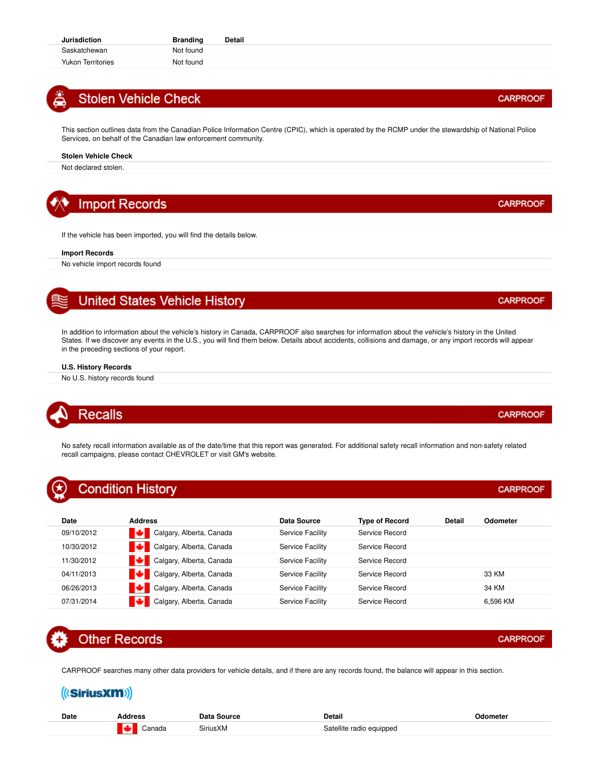### **Stolen Vehicle Check**

This section outlines data from the Canadian Police Information Centre (CPIC), which is operated by the RCMP under the stewardship of National Police Services, on behalf of the Canadian law enforcement community.

#### **Stolen Vehicle Check**

Not declared stolen.

### **Import Records**

If the vehicle has been imported, you will find the details below.

#### **Import Records**

No vehicle import records found

### **United States Vehicle History**

In addition to information about the vehicle's history in Canada, CARPROOF also searches for information about the vehicle's history in the United States. If we discover any events in the U.S., you will find them below. Details about accidents, collisions and damage, or any import records will appear in the preceding sections of your report.

#### **U.S. History Records**

No U.S. history records found

## **Recalls**

No safety recall information available as of the date/time that this report was generated. For additional safety recall information and non-safety related recall campaigns, please contact CHEVROLET or visit GM's website.

### **Condition History**

| Date       | <b>Address</b>           | Data Source             | <b>Type of Record</b> | Detail | Odometer |
|------------|--------------------------|-------------------------|-----------------------|--------|----------|
| 09/10/2012 | Calgary, Alberta, Canada | Service Facility        | Service Record        |        |          |
| 10/30/2012 | Calgary, Alberta, Canada | <b>Service Facility</b> | Service Record        |        |          |
| 11/30/2012 | Calgary, Alberta, Canada | Service Facility        | Service Record        |        |          |
| 04/11/2013 | Calgary, Alberta, Canada | <b>Service Facility</b> | Service Record        |        | 33 KM    |
| 06/26/2013 | Calgary, Alberta, Canada | Service Facility        | Service Record        |        | 34 KM    |
| 07/31/2014 | Calgary, Alberta, Canada | Service Facility        | Service Record        |        | 6.596 KM |

## **Other Records**

CARPROOF searches many other data providers for vehicle details, and if there are any records found, the balance will appear in this section.

### (((SiriusXM))

| Date | 1at           | วetail                   | vaometei |
|------|---------------|--------------------------|----------|
|      | SiriusXM<br>. | Satellite radio equipped |          |

#### **CARPROOF**

### **CARPROOF**

**CARPROOF** 

**CARPROOF** 

**CARPROOF** 

**CARPROOF**